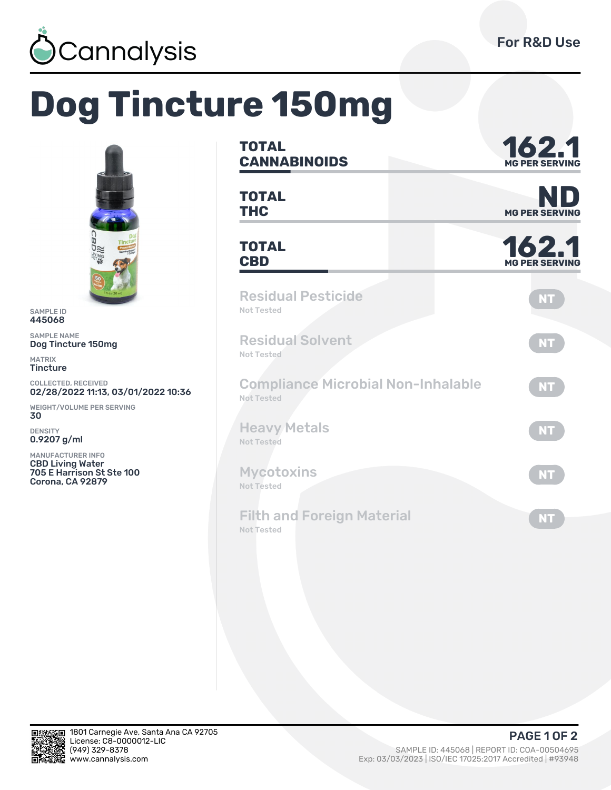

## **Dog Tincture 150mg**



SAMPLE ID 445068

SAMPLE NAME Dog Tincture 150mg

MATRIX **Tincture** 

COLLECTED, RECEIVED 02/28/2022 11:13, 03/01/2022 10:36

WEIGHT/VOLUME PER SERVING 30

DENSITY 0.9207 g/ml

MANUFACTURER INFO CBD Living Water 705 E Harrison St Ste 100 Corona, CA 92879

| <b>TOTAL</b><br><b>CANNABINOIDS</b>                     | 162.1<br><b>MG PER SERVING</b> |  |  |  |  |
|---------------------------------------------------------|--------------------------------|--|--|--|--|
| <b>TOTAL</b><br><b>THC</b>                              | ND<br><b>MG PER SERVI</b>      |  |  |  |  |
| <b>TOTAL</b><br><b>CBD</b>                              | 162.1<br><b>MG PER SERVING</b> |  |  |  |  |
| <b>Residual Pesticide</b><br>Not Tested                 | <b>NT</b>                      |  |  |  |  |
| <b>Residual Solvent</b><br>Not Tested                   | <b>NT</b>                      |  |  |  |  |
| <b>Compliance Microbial Non-Inhalable</b><br>Not Tested | <b>NT</b>                      |  |  |  |  |
| <b>Heavy Metals</b><br>Not Tested                       | <b>NT</b>                      |  |  |  |  |
| <b>Mycotoxins</b><br>Not Tested                         | <b>NT</b>                      |  |  |  |  |
| <b>Filth and Foreign Material</b><br>Not Tested         | <b>NT</b>                      |  |  |  |  |